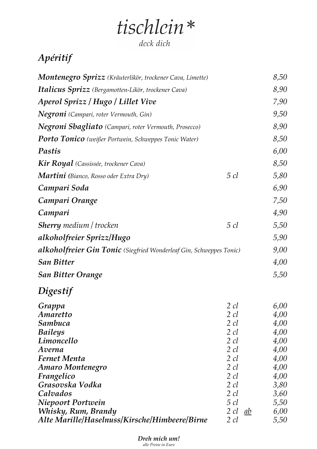# tischlein\*

deck dich

### *Apéritif*

| <b>Montenegro Sprizz</b> (Kräuterlikör, trockener Cava, Limette)    |                 | 8,50 |
|---------------------------------------------------------------------|-----------------|------|
| <b>Italicus Sprizz</b> (Bergamotten-Likör, trockener Cava)          |                 | 8,90 |
| Aperol Sprizz / Hugo / Lillet Vive                                  |                 | 7,90 |
| <b>Negroni</b> (Campari, roter Vermouth, Gin)                       |                 | 9,50 |
| <b>Negroni Sbagliato</b> (Campari, roter Vermouth, Prosecco)        |                 | 8,90 |
| <b>Porto Tonico</b> (weißer Portwein, Schweppes Tonic Water)        |                 | 8,50 |
| Pastis                                                              |                 | 6,00 |
| <b>Kir Royal</b> (Cassissée, trockener Cava)                        |                 | 8,50 |
| Martini (Bianco, Rosso oder Extra Dry)                              | $5 \, cl$       | 5,80 |
| Campari Soda                                                        |                 | 6,90 |
| Campari Orange                                                      |                 | 7,50 |
| Campari                                                             |                 | 4,90 |
| <b>Sherry</b> medium / trocken                                      | $5 \, cl$       | 5,50 |
| alkoholfreier Sprizz/Hugo                                           |                 | 5,90 |
| alkoholfreier Gin Tonic (Siegfried Wonderleaf Gin, Schweppes Tonic) |                 | 9,00 |
| <b>San Bitter</b>                                                   |                 | 4,00 |
| <b>San Bitter Orange</b>                                            |                 | 5,50 |
|                                                                     |                 |      |
| Digestif                                                            |                 |      |
| Grappa                                                              | 2 cl            | 6,00 |
| Amaretto                                                            | $2 \,$ c $l$    | 4,00 |
| Sambuca                                                             | $2 \,$ cl       | 4,00 |
| <b>Baileys</b>                                                      | $2 \, cl$       | 4,00 |
| Limoncello                                                          | 2 cl            | 4,00 |
| Averna                                                              | $2 \, cl$       | 4,00 |
| <b>Fernet Menta</b>                                                 | $2 \,$ cl       | 4,00 |
| <b>Amaro Montenegro</b>                                             | $2 \, cl$       | 4,00 |
| Frangelico                                                          | $2 \, cl$       | 4,00 |
| Grasovska Vodka                                                     | $2 \, cl$       | 3,80 |
| Calvados                                                            | 2 cl            | 3,60 |
| Niepoort Portwein                                                   | $5 \, cl$       | 5,50 |
| Whisky, Rum, Brandy                                                 | $2 \,$ cl<br>ab | 6,00 |
| Alte Marille/Haselnuss/Kirsche/Himbeere/Birne                       | 2 cl            | 5,50 |

*Dreh mich um! alle Preise in Euro*